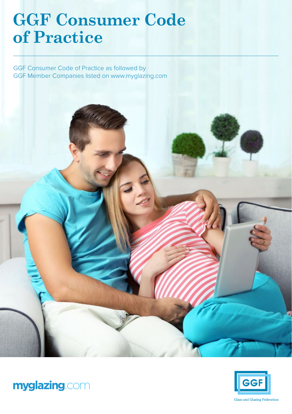# **GGF Consumer Code of Practice**

GGF Consumer Code of Practice as followed by GGF Member Companies listed on www.myglazing.com





myglazing.com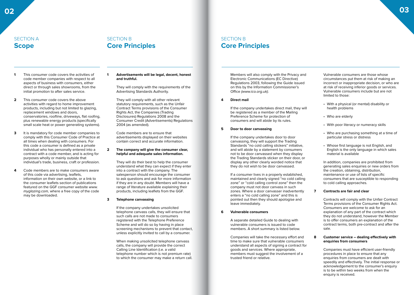### SECTION A **Scope**

# SECTION B **Core Principles**

- **1** This consumer code covers the activities of code member companies with respect to all aspects of business with consumers, either direct or through sales showrooms, from the initial promotion to after sales service.
- **2** This consumer code covers the above activities with regard to home improvement products, including but not limited to glazing, replacement windows and doors, conservatories, roofline, driveways, flat roofing, plus renewable energy products (specifically small scale heat or power generating systems).
- **3** It is mandatory for code member companies to comply with this Consumer Code of Practice at all times when dealing with consumers. For this code a consumer is defined as a private individual who has personally entered into a contract with a code member, and is acting for purposes wholly or mainly outside that individual's trade, business, craft or profession.
- **4** Code members are to make consumers aware of this code via advertising, leaflets, information on their own website, or a link to the consumer leaflets section of publications featured on the GGF consumer website www. myglazing.com, where a free copy of the code may be downloaded.

#### **1 Advertisements will be legal, decent, honest and truthful.**

They will comply with the requirements of the Advertising Standards Authority.

They will comply with all other relevant statutory requirements, such as the Unfair Contract Terms provisions of the Consumer Rights Act, the Companies (Trading Disclosures) Regulations 2008 and the Consumer Credit (Advertisements) Regulations 2004 (as amended).

Code members are to ensure that advertisements displayed on their websites contain correct and accurate information.

**2 The company will give the consumer clear, helpful and adequate sales information.**

> They will do their best to help the consumer understand what they can expect if they enter into a contract with the company. The salesperson should encourage the consumer to ask questions and ask for more information if they are in any doubt. Members will have a range of literature available explaining their products, including leaflets from the GGF.

#### **3 Telephone canvassing**

If the company undertakes unsolicited telephone canvass calls, they will ensure that such calls are not made to consumers registered with the Telephone Preference Scheme and will do so by having in place screening mechanisms to prevent that contact, unless explicitly invited to call by a consumer.

When making unsolicited telephone canvass calls, the company will provide the correct Calling Line Identification (i.e. a valid telephone number which is not premium rate) to which the consumer may make a return call.

#### Members will also comply with the Privacy and Electronic Communications (EC Directive) Regulations 2003, following the Guide issued on this by the Information Commissioner's Office (www.ico.org.uk).

#### **4 Direct mail**

If the company undertakes direct mail, they will be registered as a member of the Mailing Preference Scheme for protection of consumers and will abide by its rules.

#### **5 Door to door canvassing**

If the company undertakes door to door canvassing, they will support the Trading Standards "no cold calling stickers" initiative, and will abide by a statement by consumers not to be door canvassed when they display the Trading Standards sticker on their door, or display any other clearly worded notice that they do not wish to be door canvassed.

If a consumer lives in a properly established, maintained and clearly signed "no cold calling zone" or "cold calling control zone" then the company must not door canvass in such zones. Where a door canvasser inadvertently enters a "no cold calling zone" and this is pointed out then they should apologise and leave immediately.

#### **6 Vulnerable consumers**

A separate detailed Guide to dealing with vulnerable consumers is issued to code members. A short summary is listed below.

Companies will take the necessary effort and time to make sure that vulnerable consumers understand all aspects of signing a contract for goods and services. Where appropriate, members must suggest the involvement of a trusted friend or relative.

Vulnerable consumers are those whose circumstances put them at risk of making an incorrect or inappropriate decision, or who are at risk of receiving inferior goods or services. Vulnerable consumers include but are not limited to those:

- With a physical (or mental) disability or health problems
- Who are elderly
- With poor literacy or numeracy skills
- Who are purchasing something at a time of particular stress or distress
- Whose first language is not English, and English is the only language in which sales material is available

In addition, companies are prohibited from generating sales enquiries or new orders from the creation, obtaining, distribution, maintenance or use of lists of specific consumers that are susceptible to responding to cold calling approaches.

#### **7 Contracts are fair and clear**

Contracts will comply with the Unfair Contract Terms provisions of the Consumer Rights Act. Consumers are welcome to ask for an explanation of any part of the contract which they do not understand, however the Member is to offer consumers an explanation of the contract terms, both pre-contract and after the sale.

#### **8 Customer service – dealing effectively with enquiries from consumers**

Companies must have efficient user-friendly procedures in place to ensure that any enquiries from consumers are dealt with speedily and effectively. The initial response or acknowledgement to the consumer's enquiry is to be within two weeks from when the enquiry is received.

### SECTION B **Core Principles**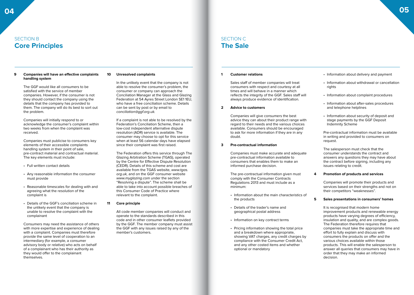### SECTION B **Core Principles**

#### **9 Companies will have an effective complaints handling system**

The GGF would like all consumers to be satisfied with the service of member companies. However, if the consumer is not they should contact the company using the details that the company has provided to them. The company will do its best to sort out the problem.

Companies will initially respond to or acknowledge the consumer's complaint within two weeks from when the complaint was received.

Companies must publicise to consumers key elements of their accessible complaints handling system in their point of sale, pre-contract material and contractual material. The key elements must include:

- Full written contact details
- Any reasonable information the consumer must provide
- Reasonable timescales for dealing with and agreeing what the resolution of the complaint is
- Details of the GGF's conciliation scheme in the unlikely event that the company is unable to resolve the complaint with the complainant

Consumers may need the assistance of others with more expertise and experience of dealing with a complaint. Companies must therefore provide the same level of cooperation to an intermediary (for example, a consumer advisory body or relative) who acts on behalf of a complainant who has their authority as they would offer to the complainant themselves.

#### **10 Unresolved complaints**

In the unlikely event that the company is not able to resolve the consumer's problem, the consumer or company can approach the Conciliation Manager at the Glass and Glazing Federation at 54 Ayres Street London SE1 1EU, who have a free conciliation scheme. Details can be sent by post or by email to conciliation@ggf.org.uk.

If a complaint is not able to be resolved by the Federation's Conciliation Scheme, then a low-cost independent alternative dispute resolution (ADR) service is available. The consumer may choose to opt for this service when at least 56 calendar days have elapsed since their complaint was first raised.

The Federation offers this service through The Glazing Arbitration Scheme (TGAS), operated by the Centre for Effective Dispute Resolution (CEDR). Details of this scheme and cost are available from the TGAS website, www.tgas. org.uk, and on the GGF consumer website www.myglazing.com under the section "Resolving a dispute". The scheme shall be able to take into account possible breaches of this Consumer Code of Practice where relevant to the complaint.

**11 Core principle**

All code member companies will conduct and operate to the standards described in this code and in other consumer leaflets provided by the GGF. The member company must assist the GGF with any issues raised by any of the member's customers.

### SECTION C **The Sale**

#### **1 Customer relations**

Sales staff of member companies will treat consumers with respect and courtesy at all times and will behave in a manner which reflects the integrity of the GGF. Sales staff will always produce evidence of identification.

#### **2 Advice to customers**

Companies will give consumers the best advice they can about their product range with regard to their needs and the various choices available. Consumers should be encouraged to ask for more information if they are in any doubt.

#### **3 Pre-contractual information**

Companies must make accurate and adequate pre-contractual information available to consumers that enables them to make an informed purchase decision.

The pre-contractual information given must comply with the Consumer Contracts Regulations 2013 and must include as a minimum:

- Information about the main characteristics of the products
- Details of the trader's name and geographical postal address
- Information on key contract terms
- Pricing information showing the total price and a breakdown where appropriate, showing VAT charges, any credit charges by compliance with the Consumer Credit Act, and any other costed items and whether optional or mandatory

#### • Information about delivery and payment

- Information about withdrawal or cancellation rights
- Information about complaint procedures
- Information about after-sales procedures and telephone helplines
- Information about security of deposit and stage payments by the GGF Deposit Indemnity Scheme

Pre-contractual information must be available in writing and provided to consumers on request.

The salesperson must check that the consumer understands the contract and answers any questions they may have about the contract before signing, including any issues relating to credit.

#### **4 Promotion of products and services**

Companies will promote their products and services based on their strengths and not on their competitors "weaknesses".

#### **5 Sales presentations in consumers' homes**

It is recognised that modern home improvement products and renewable energy products have varying degrees of efficiency, insulation and quality, and are complex goods. The Federation therefore requires that companies must take the appropriate time and effort to fully explain and discuss with consumers the products on offer and the various choices available within those products. This will enable the salesperson to answer all queries that consumers may have in order that they may make an informed decision.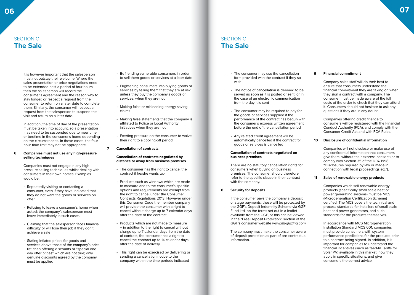### SECTION C **The Sale**

It is however important that the salesperson must not outstay their welcome. Where the sales presentation or price negotiations need to be extended past a period of four hours, then the salesperson will record the consumer's agreement and the reason why to stay longer, or respect a request from the consumer to return on a later date to complete them. Similarly, the consumer will respect a request from the salesperson to suspend the visit and return on a later date.

In addition, the time of day of the presentation must be taken into account, so a presentation may need to be suspended due to meal time or bedtime in the consumer's home depending on the circumstances. In these cases, the four hour time limit may not be appropriate.

#### **6 Companies must not use any high-pressure selling techniques**

Companies must not engage in any high pressure selling techniques whilst dealing with consumers in their own homes. Examples would be:

- Repeatedly visiting or contacting a consumer, even if they have indicated that they do not want the goods or services on offer
- Refusing to leave a consumer's home when asked; the company's salesperson must leave immediately in such cases
- Claiming that the salesperson faces financial difficulty or will lose their job if they don't achieve a sale
- Stating inflated prices for goods and services above those of the company's price list, then offering discounts or "special one day offer prices" which are not true; only genuine discounts agreed by the company must be applied
- Befriending vulnerable consumers in order to sell them goods or services at a later date
- Frightening consumers into buying goods or services by telling them that they are at risk unless they buy the company's goods or services, when they are not
- Making false or misleading energy saving claims
- Making false statements that the company is affiliated to Police or Local Authority initiatives when they are not
- Exerting pressure on the consumer to waive their right to a cooling-off period
- **7 Cancellation of contracts:**

#### **Cancellation of contracts negotiated by distance or away from business premises**

- The consumer has the right to cancel the contract if he/she wants to:-
- Products such as windows which are made to measure and to the consumer's specific options and requirements are exempt from the right to cancel under the Consumer Contracts Regulations 2013. However under this Consumer Code the member company will provide the consumer with a right to cancel without charge up to 7 calendar days after the date of the contract
- Products which are not made to measure – in addition to the right to cancel without charge up to 7 calendar days from the date of contract, the consumer has a right to cancel the contract up to 14 calendar days after the date of delivery
- This right can be exercised by delivering or sending a cancellation notice to the company within the time periods indicated
- The consumer may use the cancellation form provided with the contract if they so wish
- The notice of cancellation is deemed to be served as soon as it is posted or sent; or in the case of an electronic communication from the day it is sent
- The consumer may be required to pay for the goods or services supplied if the performance of the contract has begun with the consumer's express written agreement before the end of the cancellation period
- Any related credit agreement will be automatically cancelled if the contract for goods or services is cancelled

#### **Cancellation of contracts negotiated on business premises**

There are no statutory cancellation rights for consumers when buying on business premises. The consumer should therefore refer to the specific clause in their contract with the company.

#### **8 Security for deposits**

If the consumer pays the company a deposit or stage payments, these will be protected by the GGF's Deposit Indemnity Scheme via GGF Fund Ltd, on the terms set out in a leaflet available from the GGF, or this can be viewed in the "Free Deposit Protection" section of the GGF's consumer website www.myglazing.com.

The company must make the consumer aware of deposit protection as part of pre-contractual information.

#### **9 Financial commitment**

Company sales staff will do their best to ensure that consumers understand the financial commitment they are taking on when they sign a contract with a company. The consumer must be made aware of the full costs of the order to check that they can afford it. Consumers should not hesitate to ask any questions if they are in any doubt.

Companies offering credit finance to consumers will be registered with the Financial Conduct Authority (FCA), and comply with the Consumer Credit Act and with FCA Rules.

#### **10 Disclosure of confidential information**

Companies will not disclose or make use of any confidential information that consumers give them, without their express consent (or to comply with Section 35 of the DPA 1998 "Disclosures required by law or made in connection with legal proceedings etc").

#### **11 Sales of renewable energy products**

Companies which sell renewable energy products (specifically small scale heat or power generating systems) must be MCS (Microgeneration Certification Scheme) certified. The MCS covers the technical and process standards for installers of small scale heat and power generators, and such standards for the products themselves.

In accordance with MCS Microgeneration Installation Standard MCS 001, companies must provide consumers with system performance predictions for the products prior to a contract being signed. In addition, it is important for companies to understand the financial incentives (such as feed-In Tariffs for Solar PV) available in this market, how they apply in specific situations, and give consumers the correct advice.

### SECTION C **The Sale**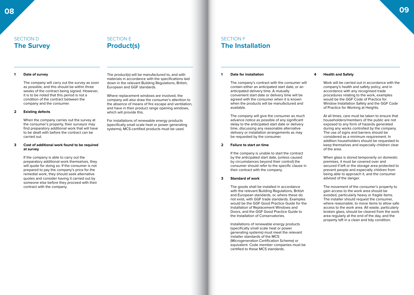### SECTION D **The Survey**

# SECTION E **Product(s)**

#### **1 Date of survey**

The company will carry out the survey as soon as possible, and this should be within three weeks of the contract being signed. However, it is to be noted that this period is not a condition of the contract between the company and the consumer.

#### **2 Existing defects**

When the company carries out the survey at the consumer's property, their surveyor may find preparatory additional work that will have to be dealt with before the contract can be carried out.

#### **3 Cost of additional work found to be required at survey**

If the company is able to carry out the preparatory additional work themselves, they will quote for doing so. If the consumer is not prepared to pay the company's price for the remedial work, they should seek alternative quotes and consider having it carried out by someone else before they proceed with their contract with the company.

The product(s) will be manufactured to, and with materials in accordance with the specifications laid down in the relevant Building Regulations, British, European and GGF standards.

Where replacement windows are involved, the company will also draw the consumer's attention to the absence of means of fire escape and ventilation, and have in their product range opening windows, which will provide this.

For installations of renewable energy products (specifically small scale heat or power generating systems), MCS-certified products must be used.

### SECTION F **The Installation**

#### **1 Date for installation**

The company's contract with the consumer will contain either an anticipated start date, or an anticipated delivery time. A mutually convenient start date or delivery time will be agreed with the consumer when it is known when the products will be manufactured and available.

The company will give the consumer as much advance notice as possible of any significant delay to the anticipated start date or delivery time, discussing any reasonable alternative delivery or installation arrangements as may be requested by the consumer.

#### **2 Failure to start on time**

If the company is unable to start the contract by the anticipated start date, (unless caused by circumstances beyond their control) the consumer should refer to the specific clause in their contract with the company.

#### **3 Standard of work**

The goods shall be installed in accordance with the relevant Building Regulations, British and European standards, or, where these do not exist, with GGF trade standards. Examples would be the GGF Good Practice Guide for the Installation of Replacement Windows and Doors, and the GGF Good Practice Guide to the Installation of Conservatories.

Installations of renewable energy products (specifically small scale heat or power generating systems) must meet the relevant installer standards of the MCS (Microgeneration Certification Scheme) or equivalent. Code member companies must be certified to these MCS standards.

#### **4 Health and Safety**

Work will be carried out in accordance with the company's health and safety policy, and in accordance with any recognised trade procedures relating to the work, examples would be the GGF Code of Practice for Window Installation Safety and the GGF Code of Practice for Working at Heights.

At all times, care must be taken to ensure that householders/members of the public are not exposed to any form of hazards generated during any works controlled by the company. The use of signs and barriers should be considered as a minimum requirement. In addition householders should be requested to keep themselves and especially children clear of the area.

When glass is stored temporarily on domestic premises, it must be covered over and secured if left or the storage area protected to prevent people and especially children from being able to approach it, and the consumer advised of the danger.

The movement of the consumer's property to gain access to the work area should be avoided, particularly heavy or fragile items. The installer should request the consumer, where reasonable, to move items to allow safe access to the work area. All waste, particularly broken glass, should be cleared from the work area regularly at the end of the day, and the property left in a clean and tidy condition.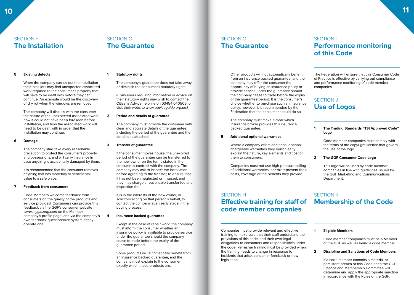### SECTION F **The Installation**

# SECTION G **The Guarantee**

#### **5 Existing defects**

When the company carries out the installation their installers may find unexpected associated work required to the consumer's property that will have to be dealt with before they can continue. An example would be the discovery of dry rot when the windows are removed.

The company will discuss with the consumer the nature of the unexpected associated work, how it could not have been foreseen before installation, and how the associated work will need to be dealt with in order that the installation may continue.

#### **6 Damage**

The company shall take every reasonable precaution to protect the consumer's property and possessions, and will carry insurance in case anything is accidentally damaged by them.

It is recommended that the consumer removes anything that has monetary or sentimental value to a safe place.

#### **7 Feedback from consumers**

Code Members welcome feedback from consumers on the quality of the products and service provided. Consumers can provide this feedback via the GGF's consumer website www.myglazing.com on the Member company's profile page, and via the company's own feedback questionnaire system if they operate one.

#### **1 Statutory rights**

The company's guarantee does not take away or diminish the consumer's statutory rights.

(Consumers requiring information or advice on their statutory rights may wish to contact the Citizens Advice helpline on 03454 040506, or visit their website www.adviceguide.org.uk.)

#### **2 Period and details of guarantee**

The company must provide the consumer with clear and accurate details of the guarantee, including the period of the guarantee and the conditions attached.

#### **3 Transfer of guarantee**

If the consumer moves house, the unexpired period of the guarantee can be transferred to the new owner on the terms stated in the consumer's contract with the company. The company may ask to inspect the installation before agreeing to the transfer, to ensure that it has not been neglected or misused; and they may charge a reasonable transfer fee and inspection fee.

It is in the interests of the new owner, or solicitors acting on that person's behalf, to contact the company at an early stage in the buying process.

#### **4 Insurance backed guarantee**

Except in the case of repair work, the company must inform the consumer whether an insurance policy is available to provide service under the guarantee should the company cease to trade before the expiry of the guarantee period.

Some products will automatically benefit from an insurance backed guarantee, and the company must explain to the consumer exactly which these products are.

Other products will not automatically benefit from an insurance backed guarantee, and the company may offer the consumer the opportunity of buying an insurance policy to provide service under the guarantee should the company cease to trade before the expiry of the guarantee period. It is the consumer's choice whether to purchase such an insurance policy, however it is recommended by the Federation that the consumer should do so.

The company must make it clear which insurance broker provides this insurance backed guarantee.

#### **5 Additional optional warranties**

SECTION G

**The Guarantee**

Where a company offers additional optional chargeable warranties they must clearly explain the nature, key elements and cost of them to consumers.

Companies must not use high-pressure selling of additional warranties, nor misrepresent their costs, coverage or the benefits they provide.

# SECTION H **Effective training for staff of code member companies**

Companies must provide relevant and effective training to make sure that their staff understand the provisions of this code, and their own legal obligations to consumers and responsibilities under the code. Refresher training must be provided when the training needs to change in response to incidents that arise, consumer feedback or new legislation.

### SECTION I

# **Performance monitoring of this Code**

The Federation will ensure that this Consumer Code of Practice is effective by carrying out compliance and performance monitoring of code member companies.

# SECTION J **Use of Logos**

#### **1 The Trading Standards "TSI Approved Code" Logo**

Code member companies must comply with the terms of the copyright licence that govern the use of the logo.

#### **2 The GGF Consumer Code Logo**

This logo will be used by code member companies in line with guidelines issued by the GGF Marketing and Communications Department.

# SECTION K **Membership of the Code**

#### **1 Eligible Members**

Code member companies must be a Member of the GGF as well as being a code member.

#### **2 Discipline and Sanctions of Code Members**

If a code member commits a material or persistent breach of this Code, then the GGF Finance and Membership Committee will determine and apply the appropriate sanction in accordance with the Rules of the GGF.